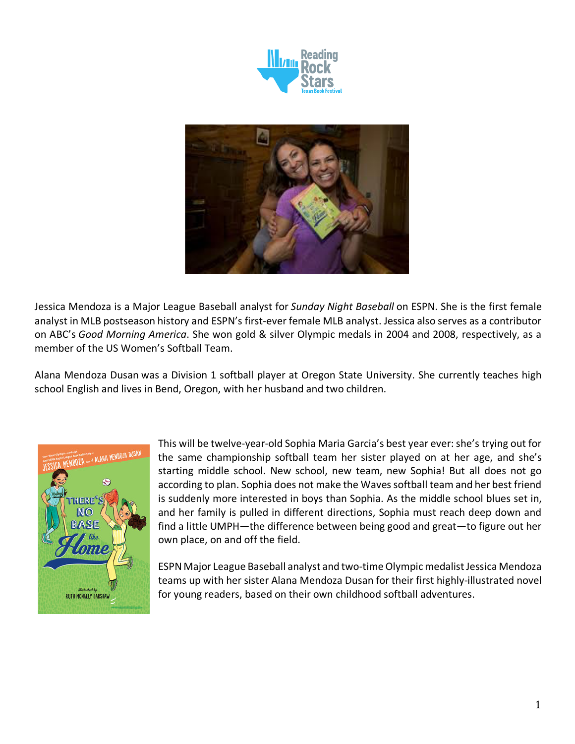



Jessica Mendoza is a Major League Baseball analyst for *Sunday Night Baseball* on ESPN. She is the first female analyst in MLB postseason history and ESPN's first-ever female MLB analyst. Jessica also serves as a contributor on ABC's *Good Morning America*. She won gold & silver Olympic medals in 2004 and 2008, respectively, as a member of the US Women's Softball Team.

Alana Mendoza Dusan was a Division 1 softball player at Oregon State University. She currently teaches high school English and lives in Bend, Oregon, with her husband and two children.



This will be twelve-year-old Sophia Maria Garcia's best year ever: she's trying out for the same championship softball team her sister played on at her age, and she's starting middle school. New school, new team, new Sophia! But all does not go according to plan. Sophia does not make the Waves softball team and her best friend is suddenly more interested in boys than Sophia. As the middle school blues set in, and her family is pulled in different directions, Sophia must reach deep down and find a little UMPH—the difference between being good and great—to figure out her own place, on and off the field.

ESPN Major League Baseball analyst and two-time Olympic medalist Jessica Mendoza teams up with her sister Alana Mendoza Dusan for their first highly-illustrated novel for young readers, based on their own childhood softball adventures.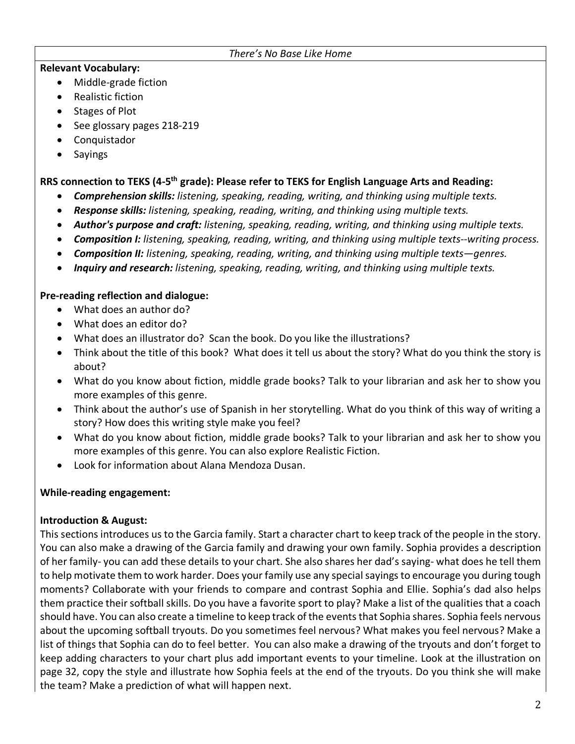#### *There's No Base Like Home*

### **Relevant Vocabulary:**

- Middle-grade fiction
- Realistic fiction
- Stages of Plot
- See glossary pages 218-219
- Conquistador
- Sayings

# **RRS connection to TEKS (4-5th grade): Please refer to TEKS for English Language Arts and Reading:**

- *Comprehension skills: listening, speaking, reading, writing, and thinking using multiple texts.*
- *Response skills: listening, speaking, reading, writing, and thinking using multiple texts.*
- *Author's purpose and craft: listening, speaking, reading, writing, and thinking using multiple texts.*
- *Composition I: listening, speaking, reading, writing, and thinking using multiple texts--writing process.*
- *Composition II: listening, speaking, reading, writing, and thinking using multiple texts—genres.*
- *Inquiry and research: listening, speaking, reading, writing, and thinking using multiple texts.*

## **Pre-reading reflection and dialogue:**

- What does an author do?
- What does an editor do?
- What does an illustrator do? Scan the book. Do you like the illustrations?
- Think about the title of this book? What does it tell us about the story? What do you think the story is about?
- What do you know about fiction, middle grade books? Talk to your librarian and ask her to show you more examples of this genre.
- Think about the author's use of Spanish in her storytelling. What do you think of this way of writing a story? How does this writing style make you feel?
- What do you know about fiction, middle grade books? Talk to your librarian and ask her to show you more examples of this genre. You can also explore Realistic Fiction.
- Look for information about Alana Mendoza Dusan.

# **While-reading engagement:**

# **Introduction & August:**

This sections introduces us to the Garcia family. Start a character chart to keep track of the people in the story. You can also make a drawing of the Garcia family and drawing your own family. Sophia provides a description of her family- you can add these details to your chart. She also shares her dad's saying- what does he tell them to help motivate them to work harder. Does your family use any special sayings to encourage you during tough moments? Collaborate with your friends to compare and contrast Sophia and Ellie. Sophia's dad also helps them practice their softball skills. Do you have a favorite sport to play? Make a list of the qualities that a coach should have. You can also create a timeline to keep track of the events that Sophia shares. Sophia feels nervous about the upcoming softball tryouts. Do you sometimes feel nervous? What makes you feel nervous? Make a list of things that Sophia can do to feel better. You can also make a drawing of the tryouts and don't forget to keep adding characters to your chart plus add important events to your timeline. Look at the illustration on page 32, copy the style and illustrate how Sophia feels at the end of the tryouts. Do you think she will make the team? Make a prediction of what will happen next.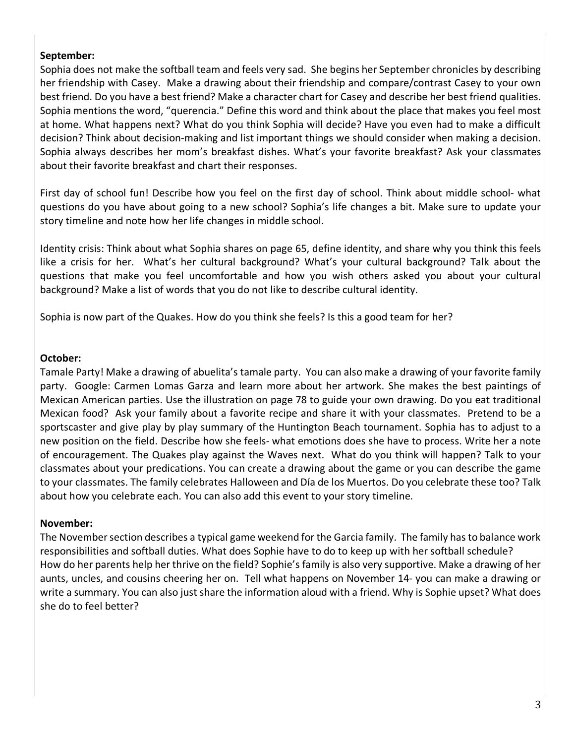#### **September:**

Sophia does not make the softball team and feels very sad. She begins her September chronicles by describing her friendship with Casey. Make a drawing about their friendship and compare/contrast Casey to your own best friend. Do you have a best friend? Make a character chart for Casey and describe her best friend qualities. Sophia mentions the word, "querencia." Define this word and think about the place that makes you feel most at home. What happens next? What do you think Sophia will decide? Have you even had to make a difficult decision? Think about decision-making and list important things we should consider when making a decision. Sophia always describes her mom's breakfast dishes. What's your favorite breakfast? Ask your classmates about their favorite breakfast and chart their responses.

First day of school fun! Describe how you feel on the first day of school. Think about middle school- what questions do you have about going to a new school? Sophia's life changes a bit. Make sure to update your story timeline and note how her life changes in middle school.

Identity crisis: Think about what Sophia shares on page 65, define identity, and share why you think this feels like a crisis for her. What's her cultural background? What's your cultural background? Talk about the questions that make you feel uncomfortable and how you wish others asked you about your cultural background? Make a list of words that you do not like to describe cultural identity.

Sophia is now part of the Quakes. How do you think she feels? Is this a good team for her?

#### **October:**

Tamale Party! Make a drawing of abuelita's tamale party. You can also make a drawing of your favorite family party. Google: Carmen Lomas Garza and learn more about her artwork. She makes the best paintings of Mexican American parties. Use the illustration on page 78 to guide your own drawing. Do you eat traditional Mexican food? Ask your family about a favorite recipe and share it with your classmates. Pretend to be a sportscaster and give play by play summary of the Huntington Beach tournament. Sophia has to adjust to a new position on the field. Describe how she feels- what emotions does she have to process. Write her a note of encouragement. The Quakes play against the Waves next. What do you think will happen? Talk to your classmates about your predications. You can create a drawing about the game or you can describe the game to your classmates. The family celebrates Halloween and Día de los Muertos. Do you celebrate these too? Talk about how you celebrate each. You can also add this event to your story timeline.

### **November:**

The November section describes a typical game weekend for the Garcia family. The family has to balance work responsibilities and softball duties. What does Sophie have to do to keep up with her softball schedule? How do her parents help her thrive on the field? Sophie's family is also very supportive. Make a drawing of her aunts, uncles, and cousins cheering her on. Tell what happens on November 14- you can make a drawing or write a summary. You can also just share the information aloud with a friend. Why is Sophie upset? What does she do to feel better?